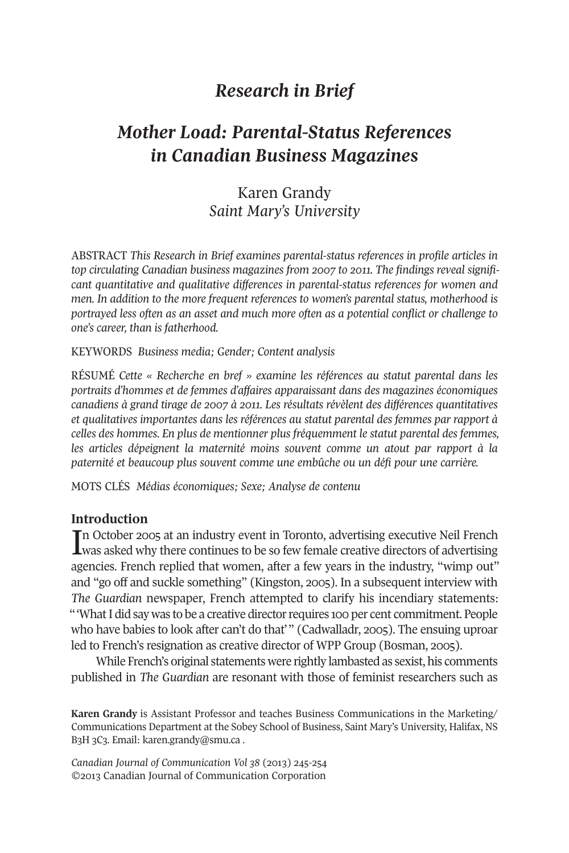## *Research in Brief*

# *Mother Load: Parental-Status References in Canadian Business Magazines*

## Karen Grandy *Saint Mary's University*

ABSTRACT *This Research in Brief examines parental-status references in profile articles in top circulating Canadian business magazines from 2007 to 2011. The findings reveal significant quantitative and qualitative differences in parental-status references for women and men. In addition to the more frequent references to women's parental status, motherhood is portrayed less often as an asset and much more often as a potential conflict or challenge to one's career, than is fatherhood.*

KEywoRDS *Business media; Gender; Content analysis*

RÉSUMÉ *Cette « Recherche en bref » examine les références au statut parental dans les portraits d'hommes et de femmes d'affaires apparaissant dans des magazines économiques canadiens à grand tirage de 2007 à 2011. Les résultats révèlent des différences quantitatives et qualitatives importantes dans les références au statut parental des femmes par rapport à celles des hommes. En plus de mentionner plus fréquemment le statut parental des femmes, les articles dépeignent la maternité moins souvent comme un atout par rapport à la paternité et beaucoup plus souvent comme une embûche ou un défi pour une carrière.*

MoTS CLÉS *Médias économiques; Sexe; Analyse de contenu*

### **Introduction**

In October 2005 at an industry event in Toronto, advertising executive Neil French<br>Lwas asked why there continues to be so few female creative directors of advertising n october 2005 at an industry event in Toronto, advertising executive Neil French agencies. French replied that women, after a few years in the industry, "wimp out" and "go off and suckle something" (Kingston, 2005). In a subsequent interview with *The Guardian* newspaper, French attempted to clarify his incendiary statements: "What I did say was to be a creative director requires 100 per cent commitment. People who have babies to look after can't do that'" (Cadwalladr, 2005). The ensuing uproar led to French's resignation as creative director of wPP Group (Bosman, 2005).

while French's original statements were rightly lambasted as sexist, his comments published in *The Guardian* are resonant with those of feminist researchers such as

**Karen Grandy** is Assistant Professor and teaches Business Communications in the Marketing/ Communications Department at the Sobey School of Business, Saint Mary's University, Halifax, NS B3H 3C3. Email: [karen.grandy@smu.ca](mailto:karen.grandy@smu.ca) .

*Canadian Journal of Communication Vol 38* (2013) 245-254 ©2013 Canadian Journal of Communication Corporation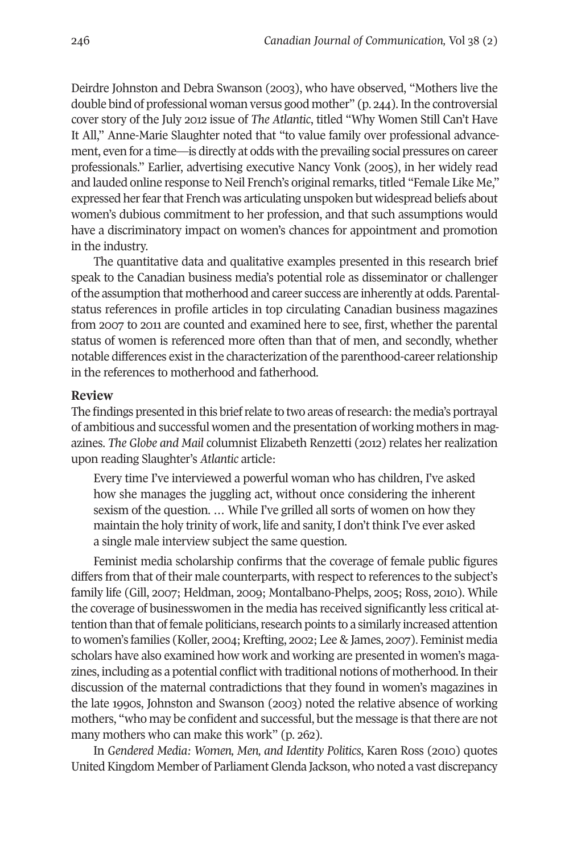Deirdre Johnston and Debra Swanson (2003), who have observed, "Mothers live the double bind of professional woman versus good mother" (p. 244). In the controversial cover story of the July 2012 issue of *The Atlantic*, titled "why women Still Can't Have It All," Anne-Marie Slaughter noted that "to value family over professional advancement, even for a time—is directly at odds with the prevailing social pressures on career professionals." Earlier, advertising executive Nancy Vonk (2005), in her widely read and lauded online response to Neil French's original remarks, titled "Female Like Me," expressed her fear that French was articulating unspoken but widespread beliefs about women's dubious commitment to her profession, and that such assumptions would have a discriminatory impact on women's chances for appointment and promotion in the industry.

The quantitative data and qualitative examples presented in this research brief speak to the Canadian business media's potential role as disseminator or challenger ofthe assumption that motherhood and career success are inherently at odds. Parentalstatus references in profile articles in top circulating Canadian business magazines from 2007 to 2011 are counted and examined here to see, first, whether the parental status of women is referenced more often than that of men, and secondly, whether notable differences exist in the characterization of the parenthood-career relationship in the references to motherhood and fatherhood.

#### **Review**

The findings presented in this brief relate to two areas of research: the media's portrayal of ambitious and successful women and the presentation of working mothers in magazines. *The Globe and Mail* columnist Elizabeth Renzetti (2012) relates her realization upon reading Slaughter's *Atlantic* article:

Every time I've interviewed a powerful woman who has children, I've asked how she manages the juggling act, without once considering the inherent sexism of the question. … while I've grilled all sorts of women on how they maintain the holy trinity of work, life and sanity, I don't think I've ever asked a single male interview subject the same question.

Feminist media scholarship confirms that the coverage of female public figures differs from that of their male counterparts, with respect to references to the subject's family life (Gill, 2007; Heldman, 2009; Montalbano-Phelps, 2005; Ross, 2010). while the coverage of businesswomen in the media has received significantly less critical attention than that of female politicians, research points to a similarly increased attention to women's families (Koller, 2004; Krefting, 2002; Lee & James, 2007). Feminist media scholars have also examined how work and working are presented in women's magazines, including as a potential conflict with traditional notions of motherhood.In their discussion of the maternal contradictions that they found in women's magazines in the late 1990s, Johnston and Swanson (2003) noted the relative absence of working mothers, "who may be confident and successful, but the message is that there are not many mothers who can make this work" (p. 262).

In *Gendered Media: Women, Men, and Identity Politics*, Karen Ross (2010) quotes United Kingdom Member of Parliament Glenda Jackson, who noted a vast discrepancy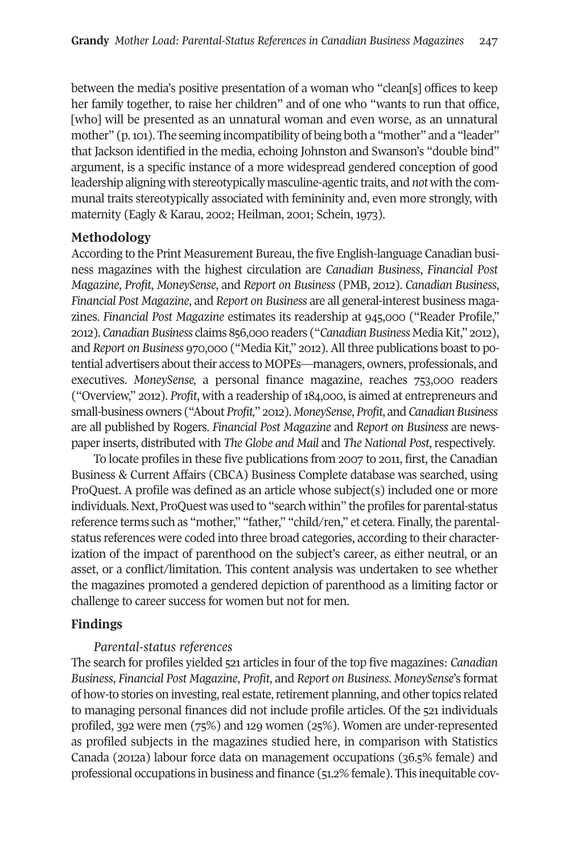between the media's positive presentation of a woman who "clean[s] offices to keep her family together, to raise her children" and of one who "wants to run that office, [who] will be presented as an unnatural woman and even worse, as an unnatural mother" (p.101). The seeming incompatibility of being both a "mother" and a "leader" that Jackson identified in the media, echoing Johnston and Swanson's "double bind" argument, is a specific instance of a more widespread gendered conception of good leadership aligning with stereotypically masculine-agentic traits, and *not* with the communal traits stereotypically associated with femininity and, even more strongly, with maternity (Eagly & Karau, 2002; Heilman, 2001; Schein, 1973).

## **Methodology**

According to the Print Measurement Bureau, the five English-language Canadian business magazines with the highest circulation are *Canadian Business*, *Financial Post Magazine*, *Profit*, *MoneySense*, and *Report on Business* (PMB, 2012). *Canadian Business*, *Financial Post Magazine*, and *Report on Business* are all general-interest business magazines. *Financial Post Magazine* estimates its readership at 945,000 ("Reader Profile," 2012). *Canadian Business* claims 856,000 readers ("*Canadian Business* MediaKit," 2012), and *Report on Business* 970,000 ("Media Kit," 2012). All three publications boast to potential advertisers about their access to MOPEs—managers, owners, professionals, and executives. *MoneySense,* a personal finance magazine, reaches 753,000 readers ("overview," 2012). *Profit*, with a readership of 184,000, is aimed at entrepreneurs and small-business owners ("About *Profit,*" 2012). *MoneySense*, *Profit*, and *CanadianBusiness* are all published by Rogers. *Financial Post Magazine* and *Report on Business* are newspaper inserts, distributed with *The Globe and Mail* and *The National Post*, respectively.

To locate profiles in these five publications from 2007 to 2011, first, the Canadian Business & Current Affairs (CBCA) Business Complete database was searched, using ProQuest. A profile was defined as an article whose subject(s) included one or more individuals. Next, ProQuest was used to "search within" the profiles for parental-status reference terms such as "mother," "father," "child/ren," et cetera. Finally, the parentalstatus references were coded into three broad categories, according to their characterization of the impact of parenthood on the subject's career, as either neutral, or an asset, or a conflict/limitation. This content analysis was undertaken to see whether the magazines promoted a gendered depiction of parenthood as a limiting factor or challenge to career success for women but not for men.

## **Findings**

### *Parental-status references*

The search for profiles yielded 521 articles in four of the top five magazines: *Canadian Business*, *Financial Post Magazine*, *Profit*, and *Report on Business*. *MoneySense*'s format of how-to stories on investing, real estate, retirement planning, and other topics related to managing personal finances did not include profile articles. of the 521 individuals profiled, 392 were men (75%) and 129 women (25%). women are under-represented as profiled subjects in the magazines studied here, in comparison with Statistics Canada (2012a) labour force data on management occupations (36.5% female) and professional occupations in business and finance (51.2% female). This inequitable cov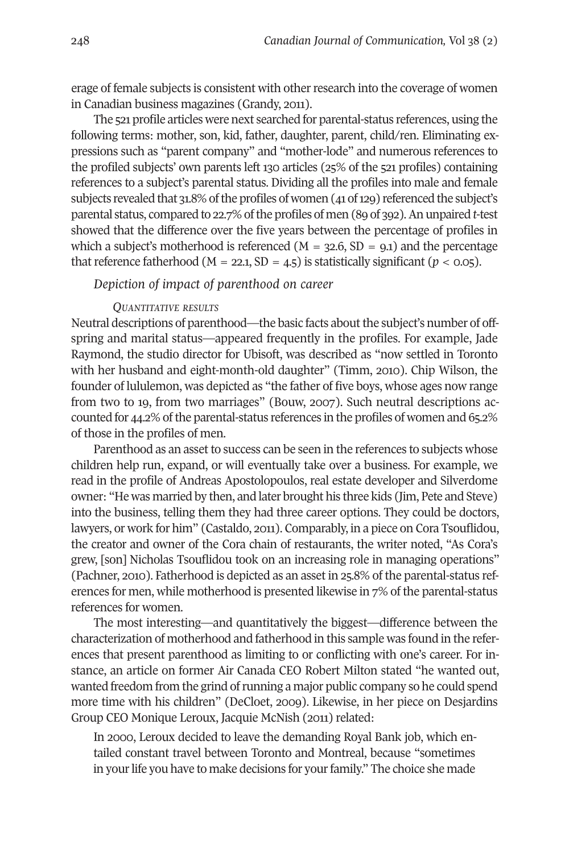erage of female subjects is consistent with otherresearch into the coverage of women in Canadian business magazines (Grandy, 2011).

The 521 profile articles were next searched for parental-status references, using the following terms: mother, son, kid, father, daughter, parent, child/ren. Eliminating expressions such as "parent company" and "mother-lode" and numerous references to the profiled subjects' own parents left 130 articles (25% of the 521 profiles) containing references to a subject's parental status. Dividing all the profiles into male and female subjects revealed that 31.8% of the profiles of women (41 of 129) referenced the subject's parental status, compared to 22.7% ofthe profiles of men (89 of 392).An unpaired *t*-test showed that the difference over the five years between the percentage of profiles in which a subject's motherhood is referenced ( $M = 32.6$ , SD = 9.1) and the percentage that reference fatherhood ( $M = 22.1$ ,  $SD = 4.5$ ) is statistically significant ( $p < 0.05$ ).

*Depiction of impact of parenthood on career*

#### *QUANTITATIVE RESULTS*

Neutral descriptions of parenthood—the basic facts about the subject's number of offspring and marital status—appeared frequently in the profiles. For example, Jade Raymond, the studio director for Ubisoft, was described as "now settled in Toronto with her husband and eight-month-old daughter" (Timm, 2010). Chip wilson, the founder of lululemon, was depicted as "the father of five boys, whose ages now range from two to 19, from two marriages" (Bouw, 2007). Such neutral descriptions accounted for 44.2% of the parental-status references in the profiles of women and 65.2% of those in the profiles of men.

Parenthood as an asset to success can be seen in the references to subjects whose children help run, expand, or will eventually take over a business. For example, we read in the profile of Andreas Apostolopoulos, real estate developer and Silverdome owner: "He was married by then, and later brought his three kids (Jim, Pete and Steve) into the business, telling them they had three career options. They could be doctors, lawyers, or work for him" (Castaldo, 2011). Comparably, in a piece on Cora Tsouflidou, the creator and owner of the Cora chain of restaurants, the writer noted, "As Cora's grew, [son] Nicholas Tsouflidou took on an increasing role in managing operations" (Pachner, 2010). Fatherhood is depicted as an asset in 25.8% of the parental-status references for men, while motherhood is presented likewise in 7% of the parental-status references for women.

The most interesting—and quantitatively the biggest—difference between the characterization of motherhood and fatherhood in this sample was found in the references that present parenthood as limiting to or conflicting with one's career. For instance, an article on former Air Canada CEo Robert Milton stated "he wanted out, wanted freedom from the grind ofrunning a major public company so he could spend more time with his children" (DeCloet, 2009). Likewise, in her piece on Desjardins Group CEo Monique Leroux, Jacquie McNish (2011) related:

In 2000, Leroux decided to leave the demanding Royal Bank job, which entailed constant travel between Toronto and Montreal, because "sometimes in your life you have to make decisions for your family." The choice she made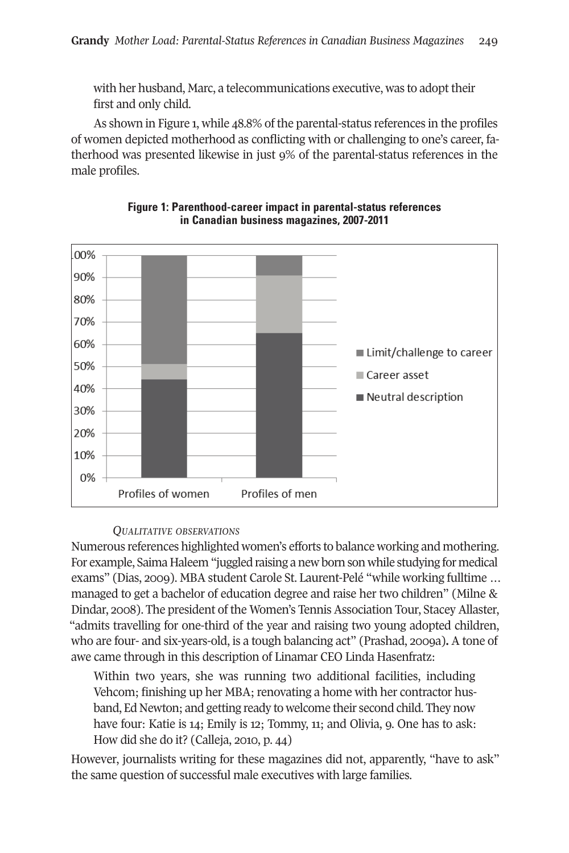with her husband, Marc, a telecommunications executive, was to adopt their first and only child.

As shown in Figure 1, while 48.8% of the parental-status references in the profiles of women depicted motherhood as conflicting with or challenging to one's career, fatherhood was presented likewise in just 9% of the parental-status references in the male profiles.





## *QUALITATIVE OBSERVATIONS*

Numerous references highlighted women's efforts to balance working and mothering. For example, Saima Haleem "juggled raising a new born son while studying for medical exams" (Dias, 2009). MBA student Carole St. Laurent-Pelé "while working fulltime … managed to get a bachelor of education degree and raise her two children" (Milne & Dindar, 2008). The president of the women's Tennis Association Tour, Stacey Allaster, "admits travelling for one-third of the year and raising two young adopted children, who are four- and six-years-old, is a tough balancing act" (Prashad, 2009a)**.** A tone of awe came through in this description of Linamar CEo Linda Hasenfratz:

within two years, she was running two additional facilities, including Vehcom; finishing up her MBA; renovating a home with her contractor husband, Ed Newton; and getting ready to welcome their second child. They now have four: Katie is 14; Emily is 12; Tommy, 11; and Olivia, 9. One has to ask: How did she do it? (Calleja, 2010, p. 44)

However, journalists writing for these magazines did not, apparently, "have to ask" the same question of successful male executives with large families.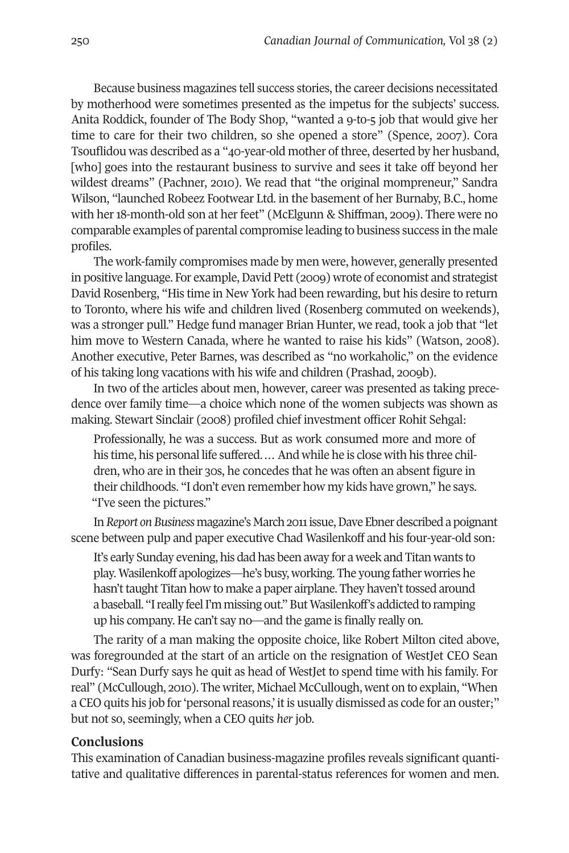Because business magazines tell success stories, the career decisions necessitated by motherhood were sometimes presented as the impetus for the subjects' success. Anita Roddick, founder of The Body Shop, "wanted a 9-to-5 job that would give her time to care for their two children, so she opened a store" (Spence, 2007). Cora Tsouflidou was described as a "40-year-old mother of three, deserted by her husband, [who] goes into the restaurant business to survive and sees it take off beyond her wildest dreams" (Pachner, 2010). we read that "the original mompreneur," Sandra wilson, "launched Robeez Footwear Ltd. in the basement of her Burnaby, B.C., home with her 18-month-old son at her feet" (McElgunn & Shiffman, 2009). There were no comparable examples of parental compromise leading to business success in the male profiles.

The work-family compromises made by men were, however, generally presented in positive language. For example,David Pett (2009) wrote of economist and strategist David Rosenberg, "His time in New york had been rewarding, but his desire to return to Toronto, where his wife and children lived (Rosenberg commuted on weekends), was a stronger pull." Hedge fund manager Brian Hunter, we read, took a job that "let him move to western Canada, where he wanted to raise his kids" (watson, 2008). Another executive, Peter Barnes, was described as "no workaholic," on the evidence of his taking long vacations with his wife and children (Prashad, 2009b).

In two of the articles about men, however, career was presented as taking precedence over family time—a choice which none of the women subjects was shown as making. Stewart Sinclair (2008) profiled chief investment officer Rohit Sehgal:

Professionally, he was a success. But as work consumed more and more of his time, his personal life suffered.… And while he is close with his three children, who are in their 30s, he concedes that he was often an absent figure in their childhoods. "I don't even remember how my kids have grown," he says. "I've seen the pictures."

In *Report* on Business magazine's March 2011 issue, Dave Ebner described a poignant scene between pulp and paper executive Chad wasilenkoff and his four-year-old son:

It's early Sunday evening, his dad has been away for a week and Titan wants to play. wasilenkoff apologizes—he's busy, working. The young father worries he hasn't taught Titan how to make a paper airplane. They haven't tossed around a baseball. "I really feel I'm missing out." But Wasilenkoff's addicted to ramping up his company. He can't say no—and the game is finally really on.

The rarity of a man making the opposite choice, like Robert Milton cited above, was foregrounded at the start of an article on the resignation of WestJet CEO Sean Durfy: "Sean Durfy says he quit as head of WestJet to spend time with his family. For real" (McCullough, 2010). The writer, Michael McCullough, went on to explain, "when a CEO quits his job for 'personal reasons,' it is usually dismissed as code for an ouster;" but not so, seemingly, when a CEo quits *her* job.

### **Conclusions**

This examination of Canadian business-magazine profiles reveals significant quantitative and qualitative differences in parental-status references for women and men.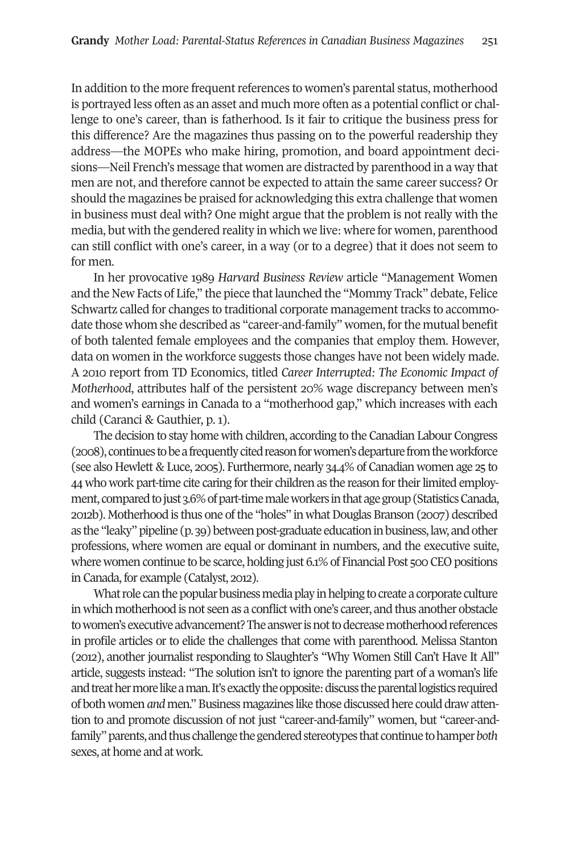In addition to the more frequent references to women's parental status, motherhood is portrayed less often as an asset and much more often as a potential conflict or challenge to one's career, than is fatherhood. Is it fair to critique the business press for this difference? Are the magazines thus passing on to the powerful readership they address—the MoPEs who make hiring, promotion, and board appointment decisions—Neil French's message that women are distracted by parenthood in a way that men are not, and therefore cannot be expected to attain the same career success? or should the magazines be praised for acknowledging this extra challenge that women in business must deal with? one might argue that the problem is not really with the media, but with the gendered reality in which we live: where for women, parenthood can still conflict with one's career, in a way (or to a degree) that it does not seem to for men.

In her provocative 1989 *Harvard Business Review* article "Management women and the New Facts of Life," the piece thatlaunched the "Mommy Track" debate, Felice Schwartz called for changes to traditional corporate management tracks to accommodate those whom she described as "career-and-family" women, forthe mutual benefit of both talented female employees and the companies that employ them. However, data on women in the workforce suggests those changes have not been widely made. A 2010 report from TD Economics, titled *Career Interrupted: The Economic Impact of Motherhood*, attributes half of the persistent 20% wage discrepancy between men's and women's earnings in Canada to a "motherhood gap," which increases with each child (Caranci & Gauthier, p. 1).

The decision to stay home with children, according to the Canadian Labour Congress (2008), continues to be a frequently cited reason for women's departure from the workforce (see also Hewlett & Luce, 2005). Furthermore, nearly 34.4% of Canadian women age 25 to 44 who work part-time cite caring for their children as the reason for their limited employment, compared to just 3.6% of part-time male workers in that age group (Statistics Canada, 2012b). Motherhood is thus one ofthe "holes" in whatDouglas Branson (2007) described as the "leaky" pipeline (p. 39) between post-graduate education in business, law, and other professions, where women are equal or dominant in numbers, and the executive suite, where women continue to be scarce, holding just  $6.1\%$  of Financial Post 500 CEO positions in Canada, for example (Catalyst, 2012).

What role can the popular business media play in helping to create a corporate culture in which motherhood is not seen as a conflict with one's career, and thus another obstacle to women's executive advancement? The answer is not to decrease motherhood references in profile articles or to elide the challenges that come with parenthood. Melissa Stanton (2012), another journalist responding to Slaughter's "why women Still Can't Have It All" article, suggests instead: "The solution isn't to ignore the parenting part of a woman's life and treat her more like a man. It's exactly the opposite: discuss the parental logistics required of bothwomen*and* men."Business magazines like those discussedhere could drawattention to and promote discussion of not just "career-and-family" women, but "career-andfamily" parents, and thus challenge the gendered stereotypes that continue to hamper *both* sexes, at home and at work.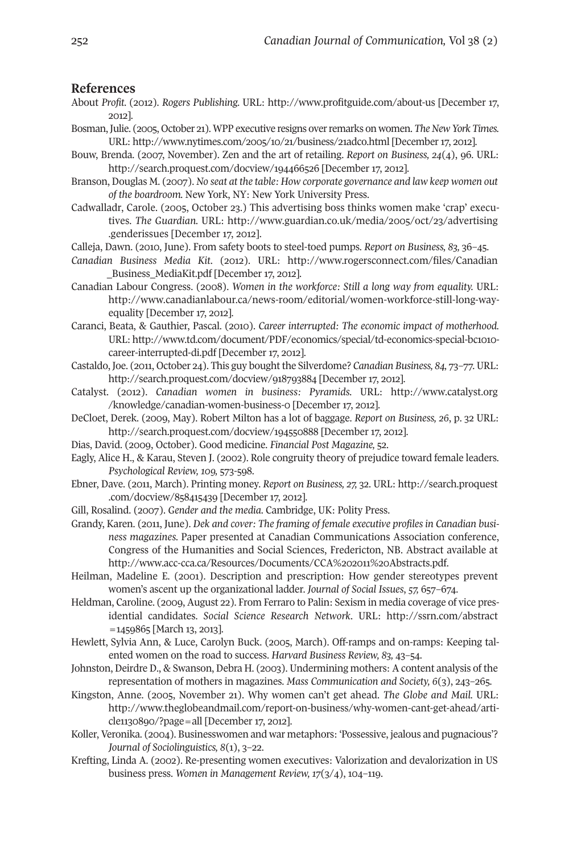#### **References**

- About *Profit.* (2012). *Rogers Publishing.* URL: <http://www.profitguide.com/about-us> [December 17, 2012].
- Bosman, Julie. (2005, October 21). WPP executive resigns over remarks on women. *The New York Times.* URL: <http://www.nytimes.com/2005/10/21/business/21adco.html> [December 17, 2012].
- Bouw, Brenda. (2007, November). Zen and the art of retailing. *Report on Business, 24*(4), 96. URL: <http://search.proquest.com/docview/194466526> [December 17, 2012].
- Branson, Douglas M. (2007). *No seat at the table: How corporate governance and law keep women out* of the boardroom. New York, NY: New York University Press.
- Cadwalladr, Carole. (2005, october 23.) This advertising boss thinks women make 'crap' executives. *The Guardian.* URL: [http://www.guardian.co.uk/media/2005/oct/23/advertising](http://www.guardian.co.uk/media/2005/oct/23/advertising.genderissues) [.genderissues](http://www.guardian.co.uk/media/2005/oct/23/advertising.genderissues) [December 17, 2012].
- Calleja, Dawn. (2010, June). From safety boots to steel-toed pumps. *Report on Business, 83,* 36–45.
- *Canadian Business Media Kit*. (2012). URL: [http://www.rogersconnect.com/files/Canadian](http://www.rogersconnect.com/files/Canadian_Business_MediaKit.pdf) [\\_Business\\_MediaKit.pdf](http://www.rogersconnect.com/files/Canadian_Business_MediaKit.pdf) [December 17, 2012].
- Canadian Labour Congress. (2008). *Women in the workforce: Still a long way from equality.* URL: [http://www.canadianlabour.ca/news-room/editorial/women-workforce-still-long-way](http://www.canadianlabour.ca/news-room/editorial/women-workforce-still-long-way-equality)[equality](http://www.canadianlabour.ca/news-room/editorial/women-workforce-still-long-way-equality) [December 17, 2012].
- Caranci, Beata, & Gauthier, Pascal. (2010). *Career interrupted: The economic impact of motherhood.* URL: [http://www.td.com/document/PDF/economics/special/td-economics-special-bc1010](http://www.td.com/document/PDF/economics/special/td-economics-special-bc1010-career-interrupted-di.pdf) [career-interrupted-di.pdf](http://www.td.com/document/PDF/economics/special/td-economics-special-bc1010-career-interrupted-di.pdf) [December 17, 2012].
- Castaldo, Joe. (2011, october 24). This guy bought the Silverdome? *Canadian Business, 84,* 73–77. URL: <http://search.proquest.com/docview/918793884> [December 17, 2012].
- Catalyst. (2012). *Canadian women in business: Pyramids.* URL: [http://www.catalyst.org](http://www.catalyst.org/knowledge/canadian-women-business-0) [/knowledge/canadian-women-business-0](http://www.catalyst.org/knowledge/canadian-women-business-0) [December 17, 2012].
- DeCloet, Derek. (2009, May). Robert Milton has a lot of baggage. *Report on Business, 26*, p. 32 URL: <http://search.proquest.com/docview/194550888> [December 17, 2012].
- Dias, David. (2009, october). Good medicine. *Financial Post Magazine,* 52.
- Eagly, Alice H., & Karau, Steven J. (2002). Role congruity theory of prejudice toward female leaders. *Psychological Review, 109,* 573-598.
- Ebner, Dave. (2011, March). Printing money. *Report on Business, 27,* 32. URL: [http://search.proquest](http://search.proquest.com/docview/858415439) [.com/docview/858415439](http://search.proquest.com/docview/858415439) [December 17, 2012].
- Gill, Rosalind. (2007). *Gender and the media*. Cambridge, UK: Polity Press.
- Grandy, Karen. (2011, June). *Dek and cover: The framing of female executive profiles in Canadian business magazines.* Paper presented at Canadian Communications Association conference, Congress of the Humanities and Social Sciences, Fredericton, NB. Abstract available at [http://www.acc-cca.ca/Resources/Documents/CCA%202011%20Abstracts.pdf.](http://www.acc-cca.ca/Resources/Documents/CCA%202011%20Abstracts.pdf)
- Heilman, Madeline E. (2001). Description and prescription: How gender stereotypes prevent women's ascent up the organizational ladder. *Journal of Social Issues*, *57,* 657–674.
- Heldman, Caroline. (2009, August 22). From Ferraro to Palin: Sexism in media coverage of vice presidential candidates. *Social Science Research Network*. URL: [http://ssrn.com/abstract](http://ssrn.com/abstract=1459865) [=1459865](http://ssrn.com/abstract=1459865) [March 13, 2013].
- Hewlett, Sylvia Ann, & Luce, Carolyn Buck. (2005, March). off-ramps and on-ramps: Keeping talented women on the road to success. *Harvard Business Review, 83,* 43–54.
- Johnston, Deirdre D., & Swanson, Debra H. (2003). Undermining mothers: A content analysis of the representation of mothers in magazines. *Mass Communication and Society, 6*(3), 243–265.
- Kingston, Anne. (2005, November 21). why women can't get ahead. *The Globe and Mail.* URL: [http://www.theglobeandmail.com/report-on-business/why-women-cant-get-ahead/arti](http://www.theglobeandmail.com/report-on-business/why-women-cant-get-ahead/article1130890/?page=all)[cle1130890/?page=all](http://www.theglobeandmail.com/report-on-business/why-women-cant-get-ahead/article1130890/?page=all) [December 17, 2012].
- Koller, Veronika. (2004). Businesswomen and war metaphors: 'Possessive, jealous and pugnacious'? *Journal of Sociolinguistics, 8*(1), 3–22.
- Krefting, Linda A. (2002). Re-presenting women executives: Valorization and devalorization in US business press. *Women in Management Review, 17*(3/4), 104–119.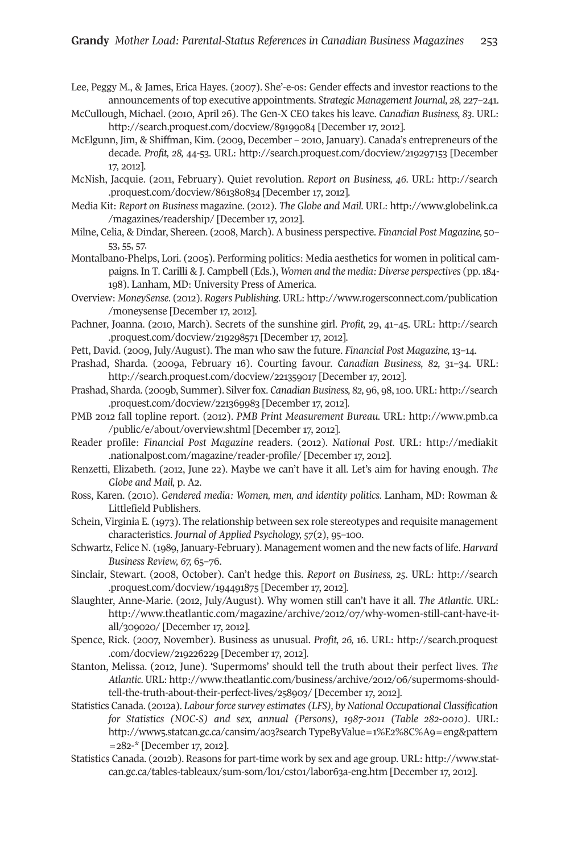Lee, Peggy M., & James, Erica Hayes. (2007). She'-e-os: Gender effects and investor reactions to the announcements of top executive appointments. *Strategic Management Journal, 28,* 227–241.

- McCullough, Michael. (2010, April 26). The Gen-X CEo takes his leave. *Canadian Business, 83*. URL: <http://search.proquest.com/docview/89199084> [December 17, 2012].
- McElgunn, Jim, & Shiffman, Kim. (2009, December 2010, January). Canada's entrepreneurs of the decade. *Profit, 28,* 44-53. URL: <http://search.proquest.com/docview/219297153> [December 17, 2012].
- McNish, Jacquie. (2011, February). Quiet revolution. *Report on Business, 46.* URL: [http://search](http://search.proquest.com/docview/861380834) [.proquest.com/docview/861380834](http://search.proquest.com/docview/861380834) [December 17, 2012].
- Media Kit: *Report on Business* magazine. (2012). *The Globe and Mail.* URL: [http://www.globelink.ca](http://www.globelink.ca/magazines/readership/) [/magazines/readership/](http://www.globelink.ca/magazines/readership/) [December 17, 2012].
- Milne, Celia, & Dindar, Shereen. (2008, March). A business perspective. *Financial Post Magazine,* 50– 53, 55, 57.
- Montalbano-Phelps, Lori. (2005). Performing politics: Media aesthetics for women in political campaigns. In T. Carilli & J. Campbell (Eds.), *Women and the media: Diverse perspectives* (pp.184- 198). Lanham, MD: University Press of America.
- overview: *MoneySense*. (2012). *Rogers Publishing*. URL: [http://www.rogersconnect.com/publication](http://www.rogersconnect.com/publication/moneysense) [/moneysense](http://www.rogersconnect.com/publication/moneysense) [December 17, 2012].
- Pachner, Joanna. (2010, March). Secrets of the sunshine girl. *Profit,* 29, 41–45. URL: [http://search](http://search.proquest.com/docview/219298571) [.proquest.com/docview/219298571](http://search.proquest.com/docview/219298571) [December 17, 2012].
- Pett, David. (2009, July/August). The man who saw the future. *Financial Post Magazine,* 13–14.
- Prashad, Sharda. (2009a, February 16). Courting favour. *Canadian Business, 82,* 31–34. URL: <http://search.proquest.com/docview/221359017> [December 17, 2012].
- Prashad, Sharda. (2009b, Summer). Silverfox. *Canadian Business, 82,* 96, 98,100. URL: [http://search](http://search.proquest.com/docview/221369983) [.proquest.com/docview/221369983](http://search.proquest.com/docview/221369983) [December 17, 2012].
- PMB 2012 fall topline report. (2012). *PMB Print Measurement Bureau.* URL: [http://www.pmb.ca](http://www.pmb.ca/public/e/about/overview.shtml) [/public/e/about/overview.shtml](http://www.pmb.ca/public/e/about/overview.shtml) [December 17, 2012].
- Reader profile: *Financial Post Magazine* readers. (2012). *National Post.* URL: [http://mediakit](http://mediakit.nationalpost.com/magazine/reader-profile/) [.nationalpost.com/magazine/reader-profile/](http://mediakit.nationalpost.com/magazine/reader-profile/) [December 17, 2012].
- Renzetti, Elizabeth. (2012, June 22). Maybe we can't have it all. Let's aim for having enough. *The Globe and Mail,* p. A2.
- Ross, Karen. (2010). *Gendered media: Women, men, and identity politics.* Lanham, MD: Rowman & Littlefield Publishers.
- Schein, Virginia E. (1973). The relationship between sex role stereotypes and requisite management characteristics. *Journal of Applied Psychology, 57*(2), 95–100.
- Schwartz, Felice N. (1989, January-February). Management women and the new facts of life. *Harvard Business Review, 67,* 65–76.
- Sinclair, Stewart. (2008, october). Can't hedge this. *Report on Business, 25*. URL: [http://search](http://search.proquest.com/docview/194491875) [.proquest.com/docview/194491875](http://search.proquest.com/docview/194491875) [December 17, 2012].
- Slaughter, Anne-Marie. (2012, July/August). why women still can't have it all. *The Atlantic.* URL: [http://www.theatlantic.com/magazine/archive/2012/07/why-women-still-cant-have-it](http://www.theatlantic.com/magazine/archive/2012/07/why-women-still-cant-have-it-all/309020/)[all/309020/](http://www.theatlantic.com/magazine/archive/2012/07/why-women-still-cant-have-it-all/309020/) [December 17, 2012].
- Spence, Rick. (2007, November). Business as unusual. *Profit, 26,* 16. URL: [http://search.proquest](http://search.proquest.com/docview/219226229) [.com/docview/219226229](http://search.proquest.com/docview/219226229) [December 17, 2012].
- Stanton, Melissa. (2012, June). 'Supermoms' should tell the truth about their perfect lives. *The Atlantic.* URL: [http://www.theatlantic.com/business/archive/2012/06/supermoms-should](http://www.theatlantic.com/business/archive/2012/06/supermoms-should-tell-the-truth-about-their-perfect-lives/258903/)[tell-the-truth-about-their-perfect-lives/258903/](http://www.theatlantic.com/business/archive/2012/06/supermoms-should-tell-the-truth-about-their-perfect-lives/258903/) [December 17, 2012].
- Statistics Canada. (2012a). *Labourforce survey estimates (LFS), by National Occupational Classification for Statistics (NOC-S) and sex, annual (Persons), 1987-2011 (Table 282-0010).* URL: [http://www5.statcan.gc.ca/cansim/a03?search](http://www5.statcan.gc.ca/cansim/a03?search TypeByValue=1%E2%8C%A9=eng&pattern=282-*) TypeByValue=1%E2%8C%A9=eng&pattern [=282-\\*](http://www5.statcan.gc.ca/cansim/a03?search TypeByValue=1%E2%8C%A9=eng&pattern=282-*) [December 17, 2012].
- Statistics Canada. (2012b). Reasons for part-time work by sex and age group. URL: [http://www.stat](http://www.statcan.gc.ca/tables-tableaux/sum-som/l01/cst01/labor63a-eng.htm)[can.gc.ca/tables-tableaux/sum-som/l01/cst01/labor63a-eng.htm](http://www.statcan.gc.ca/tables-tableaux/sum-som/l01/cst01/labor63a-eng.htm) [December 17, 2012].